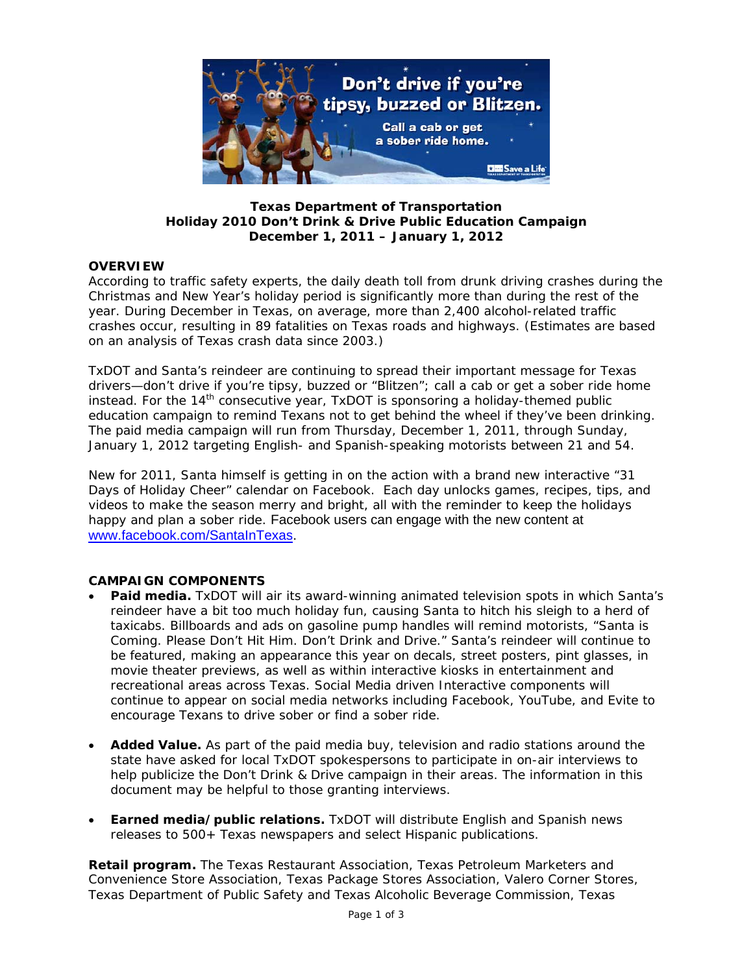

**Texas Department of Transportation Holiday 2010** *Don't Drink & Drive* **Public Education Campaign December 1, 2011 – January 1, 2012** 

# **OVERVIEW**

According to traffic safety experts, the daily death toll from drunk driving crashes during the Christmas and New Year's holiday period is significantly more than during the rest of the year. During December in Texas, on average, more than 2,400 alcohol-related traffic crashes occur, resulting in 89 fatalities on Texas roads and highways. (Estimates are based on an analysis of Texas crash data since 2003.)

TxDOT and Santa's reindeer are continuing to spread their important message for Texas drivers—don't drive if you're tipsy, buzzed or "Blitzen"; call a cab or get a sober ride home instead. For the 14<sup>th</sup> consecutive year, TxDOT is sponsoring a holiday-themed public education campaign to remind Texans not to get behind the wheel if they've been drinking. The paid media campaign will run from Thursday, December 1, 2011, through Sunday, January 1, 2012 targeting English- and Spanish-speaking motorists between 21 and 54.

New for 2011, Santa himself is getting in on the action with a brand new interactive "31 Days of Holiday Cheer" calendar on Facebook. Each day unlocks games, recipes, tips, and videos to make the season merry and bright, all with the reminder to keep the holidays happy and plan a sober ride. Facebook users can engage with the new content at www.facebook.com/SantaInTexas.

## **CAMPAIGN COMPONENTS**

- **Paid media.** TxDOT will air its award-winning animated television spots in which Santa's reindeer have a bit too much holiday fun, causing Santa to hitch his sleigh to a herd of taxicabs. Billboards and ads on gasoline pump handles will remind motorists, "Santa is Coming. Please Don't Hit Him. Don't Drink and Drive." Santa's reindeer will continue to be featured, making an appearance this year on decals, street posters, pint glasses, in movie theater previews, as well as within interactive kiosks in entertainment and recreational areas across Texas. Social Media driven Interactive components will continue to appear on social media networks including Facebook, YouTube, and Evite to encourage Texans to drive sober or find a sober ride.
- **Added Value.** As part of the paid media buy, television and radio stations around the state have asked for local TxDOT spokespersons to participate in on-air interviews to help publicize the *Don't Drink & Drive* campaign in their areas. The information in this document may be helpful to those granting interviews.
- **Earned media/public relations.** TxDOT will distribute English and Spanish news releases to 500+ Texas newspapers and select Hispanic publications.

**Retail program.** The Texas Restaurant Association, Texas Petroleum Marketers and Convenience Store Association, Texas Package Stores Association, Valero Corner Stores, Texas Department of Public Safety and Texas Alcoholic Beverage Commission, Texas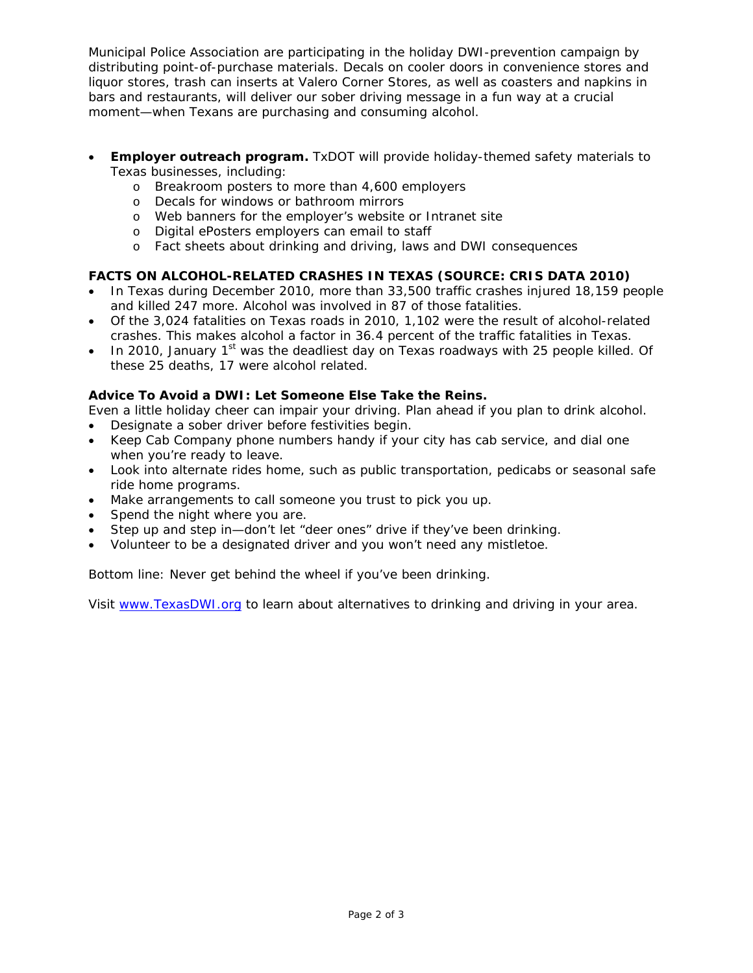Municipal Police Association are participating in the holiday DWI-prevention campaign by distributing point-of-purchase materials. Decals on cooler doors in convenience stores and liquor stores, trash can inserts at Valero Corner Stores, as well as coasters and napkins in bars and restaurants, will deliver our sober driving message in a fun way at a crucial moment—when Texans are purchasing and consuming alcohol.

- **Employer outreach program.** TxDOT will provide holiday-themed safety materials to Texas businesses, including:
	- o Breakroom posters to more than 4,600 employers
	- o Decals for windows or bathroom mirrors
	- o Web banners for the employer's website or Intranet site
	- o Digital ePosters employers can email to staff
	- o Fact sheets about drinking and driving, laws and DWI consequences

# **FACTS ON ALCOHOL-RELATED CRASHES IN TEXAS (SOURCE: CRIS DATA 2010)**

- In Texas during December 2010, more than 33,500 traffic crashes injured 18,159 people and killed 247 more. Alcohol was involved in 87 of those fatalities.
- Of the 3,024 fatalities on Texas roads in 2010, 1,102 were the result of alcohol-related crashes. This makes alcohol a factor in 36.4 percent of the traffic fatalities in Texas.
- In 2010, January 1st was the deadliest day on Texas roadways with 25 people killed. Of these 25 deaths, 17 were alcohol related.

## **Advice To Avoid a DWI: Let Someone Else Take the Reins.**

Even a little holiday cheer can impair your driving. Plan ahead if you plan to drink alcohol.

- Designate a sober driver before festivities begin.
- Keep Cab Company phone numbers handy if your city has cab service, and dial one when you're ready to leave.
- Look into alternate rides home, such as public transportation, pedicabs or seasonal safe ride home programs.
- Make arrangements to call someone you trust to pick you up.
- Spend the night where you are.
- Step up and step in—don't let "deer ones" drive if they've been drinking.
- Volunteer to be a designated driver and you won't need any mistletoe.

Bottom line: Never get behind the wheel if you've been drinking.

Visit www.TexasDWI.org to learn about alternatives to drinking and driving in your area.